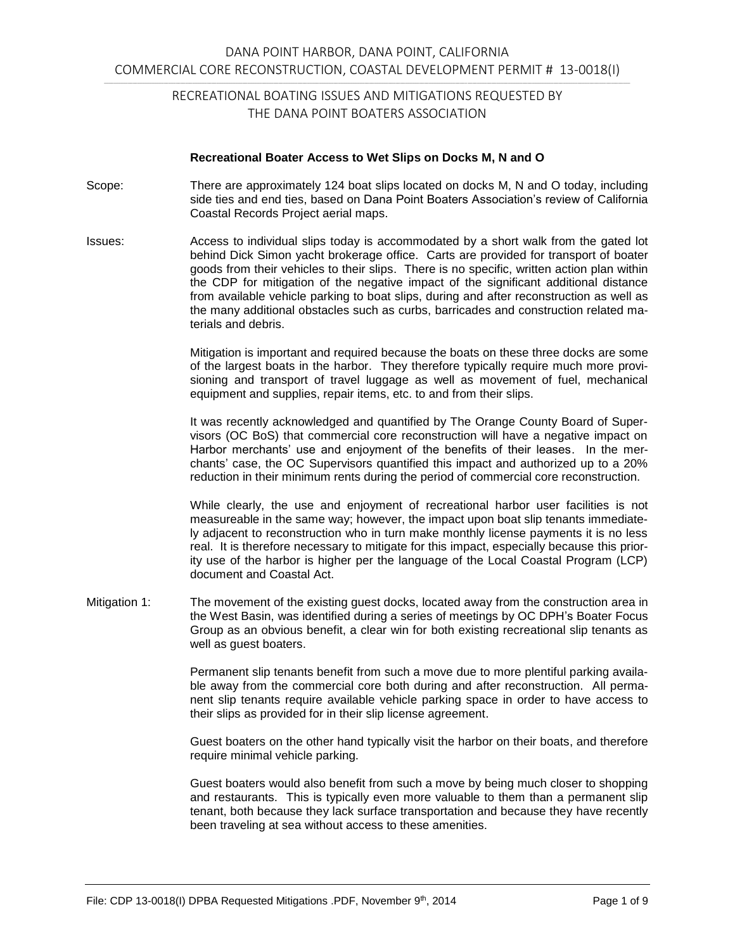### **Recreational Boater Access to Wet Slips on Docks M, N and O**

- Scope: There are approximately 124 boat slips located on docks M, N and O today, including side ties and end ties, based on Dana Point Boaters Association's review of California Coastal Records Project aerial maps.
- Issues: Access to individual slips today is accommodated by a short walk from the gated lot behind Dick Simon yacht brokerage office. Carts are provided for transport of boater goods from their vehicles to their slips. There is no specific, written action plan within the CDP for mitigation of the negative impact of the significant additional distance from available vehicle parking to boat slips, during and after reconstruction as well as the many additional obstacles such as curbs, barricades and construction related materials and debris.

Mitigation is important and required because the boats on these three docks are some of the largest boats in the harbor. They therefore typically require much more provisioning and transport of travel luggage as well as movement of fuel, mechanical equipment and supplies, repair items, etc. to and from their slips.

It was recently acknowledged and quantified by The Orange County Board of Supervisors (OC BoS) that commercial core reconstruction will have a negative impact on Harbor merchants' use and enjoyment of the benefits of their leases. In the merchants' case, the OC Supervisors quantified this impact and authorized up to a 20% reduction in their minimum rents during the period of commercial core reconstruction.

While clearly, the use and enjoyment of recreational harbor user facilities is not measureable in the same way; however, the impact upon boat slip tenants immediately adjacent to reconstruction who in turn make monthly license payments it is no less real. It is therefore necessary to mitigate for this impact, especially because this priority use of the harbor is higher per the language of the Local Coastal Program (LCP) document and Coastal Act.

Mitigation 1: The movement of the existing guest docks, located away from the construction area in the West Basin, was identified during a series of meetings by OC DPH's Boater Focus Group as an obvious benefit, a clear win for both existing recreational slip tenants as well as guest boaters.

> Permanent slip tenants benefit from such a move due to more plentiful parking available away from the commercial core both during and after reconstruction. All permanent slip tenants require available vehicle parking space in order to have access to their slips as provided for in their slip license agreement.

> Guest boaters on the other hand typically visit the harbor on their boats, and therefore require minimal vehicle parking.

> Guest boaters would also benefit from such a move by being much closer to shopping and restaurants. This is typically even more valuable to them than a permanent slip tenant, both because they lack surface transportation and because they have recently been traveling at sea without access to these amenities.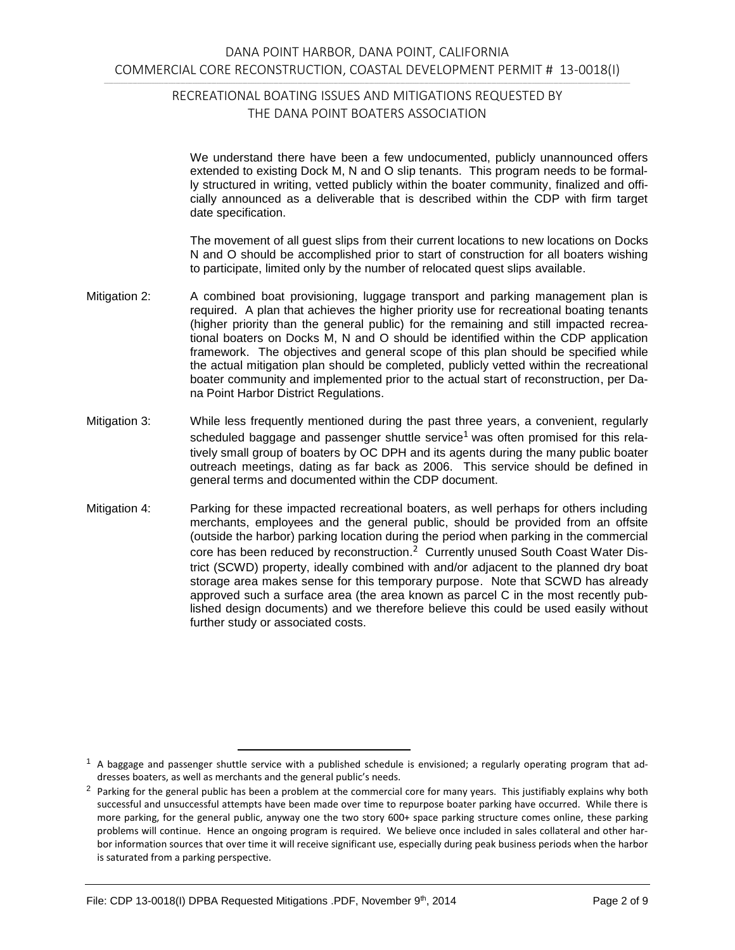We understand there have been a few undocumented, publicly unannounced offers extended to existing Dock M, N and O slip tenants. This program needs to be formally structured in writing, vetted publicly within the boater community, finalized and officially announced as a deliverable that is described within the CDP with firm target date specification.

The movement of all guest slips from their current locations to new locations on Docks N and O should be accomplished prior to start of construction for all boaters wishing to participate, limited only by the number of relocated quest slips available.

- Mitigation 2: A combined boat provisioning, luggage transport and parking management plan is required. A plan that achieves the higher priority use for recreational boating tenants (higher priority than the general public) for the remaining and still impacted recreational boaters on Docks M, N and O should be identified within the CDP application framework. The objectives and general scope of this plan should be specified while the actual mitigation plan should be completed, publicly vetted within the recreational boater community and implemented prior to the actual start of reconstruction, per Dana Point Harbor District Regulations.
- Mitigation 3: While less frequently mentioned during the past three years, a convenient, regularly scheduled baggage and passenger shuttle service<sup>1</sup> was often promised for this relatively small group of boaters by OC DPH and its agents during the many public boater outreach meetings, dating as far back as 2006. This service should be defined in general terms and documented within the CDP document.
- Mitigation 4: Parking for these impacted recreational boaters, as well perhaps for others including merchants, employees and the general public, should be provided from an offsite (outside the harbor) parking location during the period when parking in the commercial core has been reduced by reconstruction.<sup>2</sup> Currently unused South Coast Water District (SCWD) property, ideally combined with and/or adjacent to the planned dry boat storage area makes sense for this temporary purpose. Note that SCWD has already approved such a surface area (the area known as parcel C in the most recently published design documents) and we therefore believe this could be used easily without further study or associated costs.

 $<sup>1</sup>$  A baggage and passenger shuttle service with a published schedule is envisioned; a regularly operating program that ad-</sup> dresses boaters, as well as merchants and the general public's needs.

<sup>&</sup>lt;sup>2</sup> Parking for the general public has been a problem at the commercial core for many years. This justifiably explains why both successful and unsuccessful attempts have been made over time to repurpose boater parking have occurred. While there is more parking, for the general public, anyway one the two story 600+ space parking structure comes online, these parking problems will continue. Hence an ongoing program is required. We believe once included in sales collateral and other harbor information sources that over time it will receive significant use, especially during peak business periods when the harbor is saturated from a parking perspective.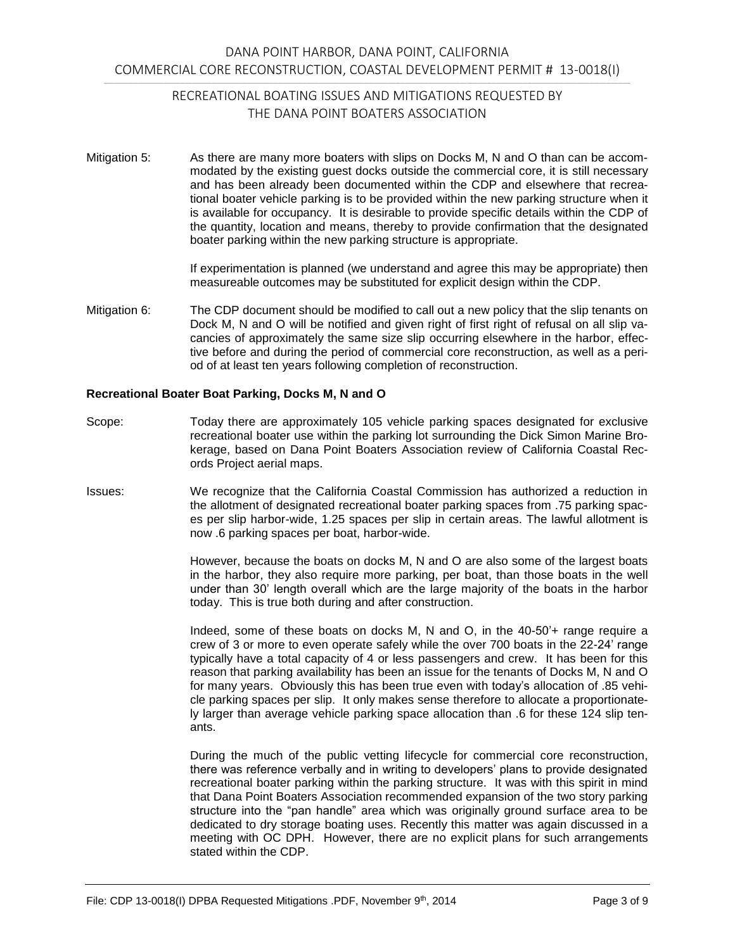Mitigation 5: As there are many more boaters with slips on Docks M, N and O than can be accommodated by the existing guest docks outside the commercial core, it is still necessary and has been already been documented within the CDP and elsewhere that recreational boater vehicle parking is to be provided within the new parking structure when it is available for occupancy. It is desirable to provide specific details within the CDP of the quantity, location and means, thereby to provide confirmation that the designated boater parking within the new parking structure is appropriate.

> If experimentation is planned (we understand and agree this may be appropriate) then measureable outcomes may be substituted for explicit design within the CDP.

Mitigation 6: The CDP document should be modified to call out a new policy that the slip tenants on Dock M, N and O will be notified and given right of first right of refusal on all slip vacancies of approximately the same size slip occurring elsewhere in the harbor, effective before and during the period of commercial core reconstruction, as well as a period of at least ten years following completion of reconstruction.

### **Recreational Boater Boat Parking, Docks M, N and O**

- Scope: Today there are approximately 105 vehicle parking spaces designated for exclusive recreational boater use within the parking lot surrounding the Dick Simon Marine Brokerage, based on Dana Point Boaters Association review of California Coastal Records Project aerial maps.
- Issues: We recognize that the California Coastal Commission has authorized a reduction in the allotment of designated recreational boater parking spaces from .75 parking spaces per slip harbor-wide, 1.25 spaces per slip in certain areas. The lawful allotment is now .6 parking spaces per boat, harbor-wide.

However, because the boats on docks M, N and O are also some of the largest boats in the harbor, they also require more parking, per boat, than those boats in the well under than 30' length overall which are the large majority of the boats in the harbor today. This is true both during and after construction.

Indeed, some of these boats on docks M, N and O, in the 40-50'+ range require a crew of 3 or more to even operate safely while the over 700 boats in the 22-24' range typically have a total capacity of 4 or less passengers and crew. It has been for this reason that parking availability has been an issue for the tenants of Docks M, N and O for many years. Obviously this has been true even with today's allocation of .85 vehicle parking spaces per slip. It only makes sense therefore to allocate a proportionately larger than average vehicle parking space allocation than .6 for these 124 slip tenants.

During the much of the public vetting lifecycle for commercial core reconstruction, there was reference verbally and in writing to developers' plans to provide designated recreational boater parking within the parking structure. It was with this spirit in mind that Dana Point Boaters Association recommended expansion of the two story parking structure into the "pan handle" area which was originally ground surface area to be dedicated to dry storage boating uses. Recently this matter was again discussed in a meeting with OC DPH. However, there are no explicit plans for such arrangements stated within the CDP.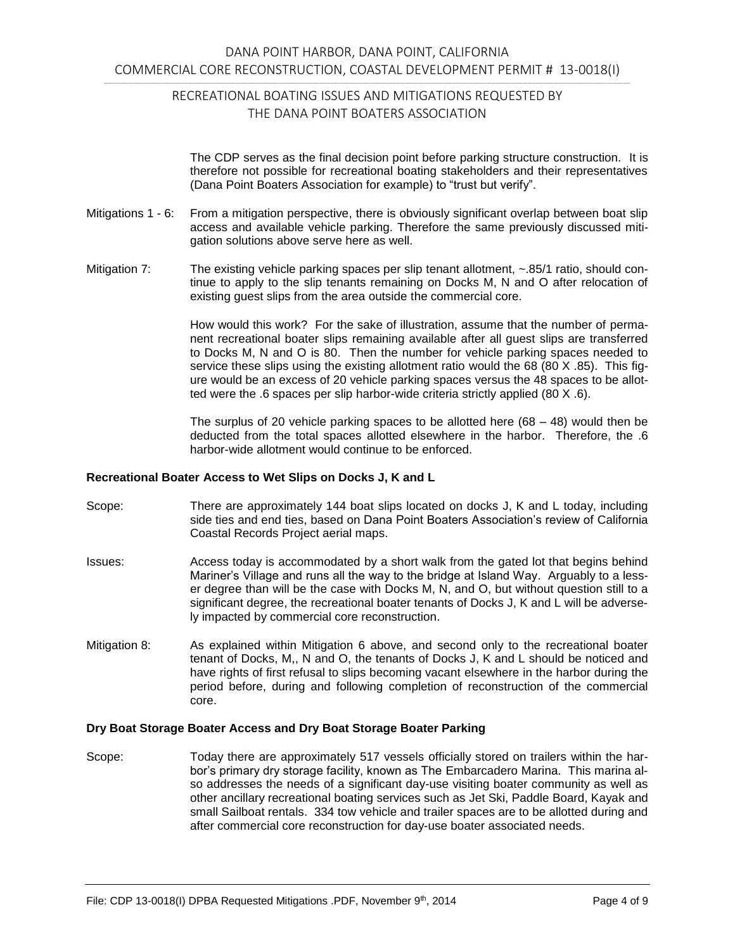The CDP serves as the final decision point before parking structure construction. It is therefore not possible for recreational boating stakeholders and their representatives (Dana Point Boaters Association for example) to "trust but verify".

- Mitigations 1 6: From a mitigation perspective, there is obviously significant overlap between boat slip access and available vehicle parking. Therefore the same previously discussed mitigation solutions above serve here as well.
- Mitigation 7: The existing vehicle parking spaces per slip tenant allotment, ~.85/1 ratio, should continue to apply to the slip tenants remaining on Docks M, N and O after relocation of existing guest slips from the area outside the commercial core.

How would this work? For the sake of illustration, assume that the number of permanent recreational boater slips remaining available after all guest slips are transferred to Docks M, N and O is 80. Then the number for vehicle parking spaces needed to service these slips using the existing allotment ratio would the 68 (80 X .85). This figure would be an excess of 20 vehicle parking spaces versus the 48 spaces to be allotted were the .6 spaces per slip harbor-wide criteria strictly applied (80 X .6).

The surplus of 20 vehicle parking spaces to be allotted here  $(68 - 48)$  would then be deducted from the total spaces allotted elsewhere in the harbor. Therefore, the .6 harbor-wide allotment would continue to be enforced.

#### **Recreational Boater Access to Wet Slips on Docks J, K and L**

- Scope: There are approximately 144 boat slips located on docks J, K and L today, including side ties and end ties, based on Dana Point Boaters Association's review of California Coastal Records Project aerial maps.
- Issues: Access today is accommodated by a short walk from the gated lot that begins behind Mariner's Village and runs all the way to the bridge at Island Way. Arguably to a lesser degree than will be the case with Docks M, N, and O, but without question still to a significant degree, the recreational boater tenants of Docks J, K and L will be adversely impacted by commercial core reconstruction.
- Mitigation 8: As explained within Mitigation 6 above, and second only to the recreational boater tenant of Docks, M,, N and O, the tenants of Docks J, K and L should be noticed and have rights of first refusal to slips becoming vacant elsewhere in the harbor during the period before, during and following completion of reconstruction of the commercial core.

### **Dry Boat Storage Boater Access and Dry Boat Storage Boater Parking**

Scope: Today there are approximately 517 vessels officially stored on trailers within the harbor's primary dry storage facility, known as The Embarcadero Marina. This marina also addresses the needs of a significant day-use visiting boater community as well as other ancillary recreational boating services such as Jet Ski, Paddle Board, Kayak and small Sailboat rentals. 334 tow vehicle and trailer spaces are to be allotted during and after commercial core reconstruction for day-use boater associated needs.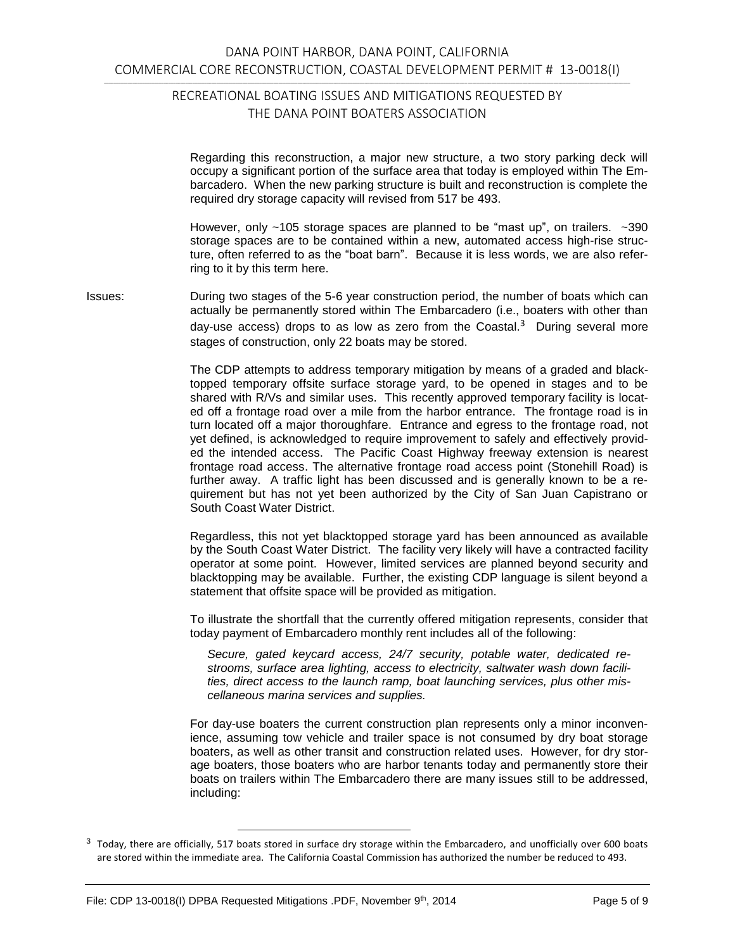Regarding this reconstruction, a major new structure, a two story parking deck will occupy a significant portion of the surface area that today is employed within The Embarcadero. When the new parking structure is built and reconstruction is complete the required dry storage capacity will revised from 517 be 493.

However, only ~105 storage spaces are planned to be "mast up", on trailers. ~390 storage spaces are to be contained within a new, automated access high-rise structure, often referred to as the "boat barn". Because it is less words, we are also referring to it by this term here.

Issues: During two stages of the 5-6 year construction period, the number of boats which can actually be permanently stored within The Embarcadero (i.e., boaters with other than day-use access) drops to as low as zero from the Coastal.<sup>3</sup> During several more stages of construction, only 22 boats may be stored.

> The CDP attempts to address temporary mitigation by means of a graded and blacktopped temporary offsite surface storage yard, to be opened in stages and to be shared with R/Vs and similar uses. This recently approved temporary facility is located off a frontage road over a mile from the harbor entrance. The frontage road is in turn located off a major thoroughfare. Entrance and egress to the frontage road, not yet defined, is acknowledged to require improvement to safely and effectively provided the intended access. The Pacific Coast Highway freeway extension is nearest frontage road access. The alternative frontage road access point (Stonehill Road) is further away. A traffic light has been discussed and is generally known to be a requirement but has not yet been authorized by the City of San Juan Capistrano or South Coast Water District.

> Regardless, this not yet blacktopped storage yard has been announced as available by the South Coast Water District. The facility very likely will have a contracted facility operator at some point. However, limited services are planned beyond security and blacktopping may be available. Further, the existing CDP language is silent beyond a statement that offsite space will be provided as mitigation.

> To illustrate the shortfall that the currently offered mitigation represents, consider that today payment of Embarcadero monthly rent includes all of the following:

*Secure, gated keycard access, 24/7 security, potable water, dedicated restrooms, surface area lighting, access to electricity, saltwater wash down facilities, direct access to the launch ramp, boat launching services, plus other miscellaneous marina services and supplies.*

For day-use boaters the current construction plan represents only a minor inconvenience, assuming tow vehicle and trailer space is not consumed by dry boat storage boaters, as well as other transit and construction related uses. However, for dry storage boaters, those boaters who are harbor tenants today and permanently store their boats on trailers within The Embarcadero there are many issues still to be addressed, including:

<sup>&</sup>lt;sup>3</sup> Today, there are officially, 517 boats stored in surface dry storage within the Embarcadero, and unofficially over 600 boats are stored within the immediate area. The California Coastal Commission has authorized the number be reduced to 493.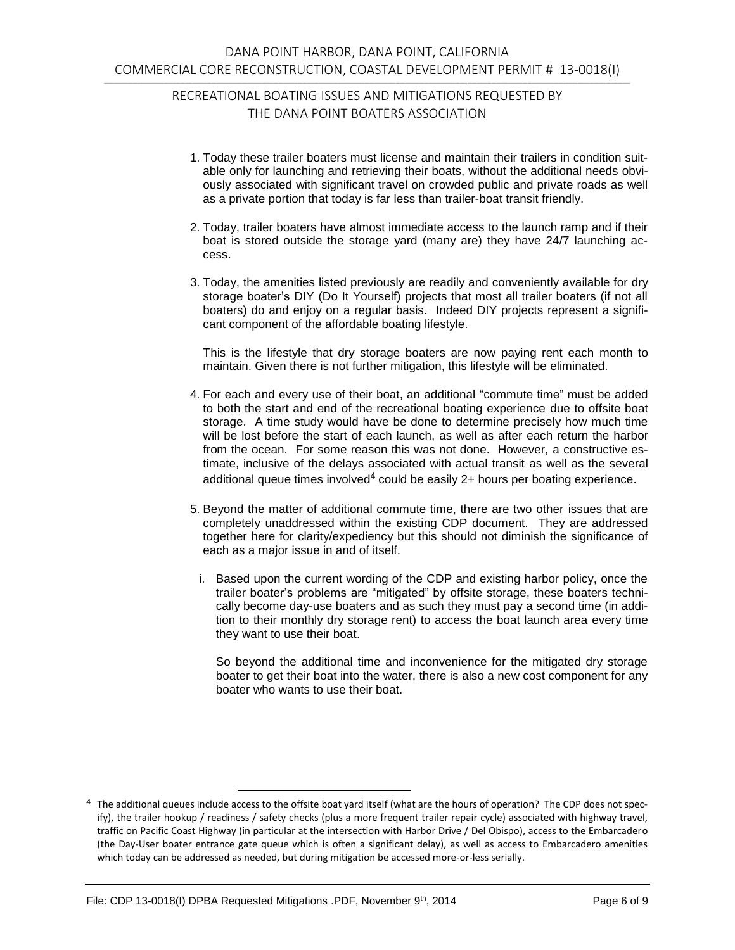- 1. Today these trailer boaters must license and maintain their trailers in condition suitable only for launching and retrieving their boats, without the additional needs obviously associated with significant travel on crowded public and private roads as well as a private portion that today is far less than trailer-boat transit friendly.
- 2. Today, trailer boaters have almost immediate access to the launch ramp and if their boat is stored outside the storage yard (many are) they have 24/7 launching access.
- 3. Today, the amenities listed previously are readily and conveniently available for dry storage boater's DIY (Do It Yourself) projects that most all trailer boaters (if not all boaters) do and enjoy on a regular basis. Indeed DIY projects represent a significant component of the affordable boating lifestyle.

This is the lifestyle that dry storage boaters are now paying rent each month to maintain. Given there is not further mitigation, this lifestyle will be eliminated.

- 4. For each and every use of their boat, an additional "commute time" must be added to both the start and end of the recreational boating experience due to offsite boat storage. A time study would have be done to determine precisely how much time will be lost before the start of each launch, as well as after each return the harbor from the ocean. For some reason this was not done. However, a constructive estimate, inclusive of the delays associated with actual transit as well as the several additional queue times involved $^4$  could be easily 2+ hours per boating experience.
- 5. Beyond the matter of additional commute time, there are two other issues that are completely unaddressed within the existing CDP document. They are addressed together here for clarity/expediency but this should not diminish the significance of each as a major issue in and of itself.
	- i. Based upon the current wording of the CDP and existing harbor policy, once the trailer boater's problems are "mitigated" by offsite storage, these boaters technically become day-use boaters and as such they must pay a second time (in addition to their monthly dry storage rent) to access the boat launch area every time they want to use their boat.

So beyond the additional time and inconvenience for the mitigated dry storage boater to get their boat into the water, there is also a new cost component for any boater who wants to use their boat.

<sup>4</sup> The additional queues include access to the offsite boat yard itself (what are the hours of operation? The CDP does not specify), the trailer hookup / readiness / safety checks (plus a more frequent trailer repair cycle) associated with highway travel, traffic on Pacific Coast Highway (in particular at the intersection with Harbor Drive / Del Obispo), access to the Embarcadero (the Day-User boater entrance gate queue which is often a significant delay), as well as access to Embarcadero amenities which today can be addressed as needed, but during mitigation be accessed more-or-less serially.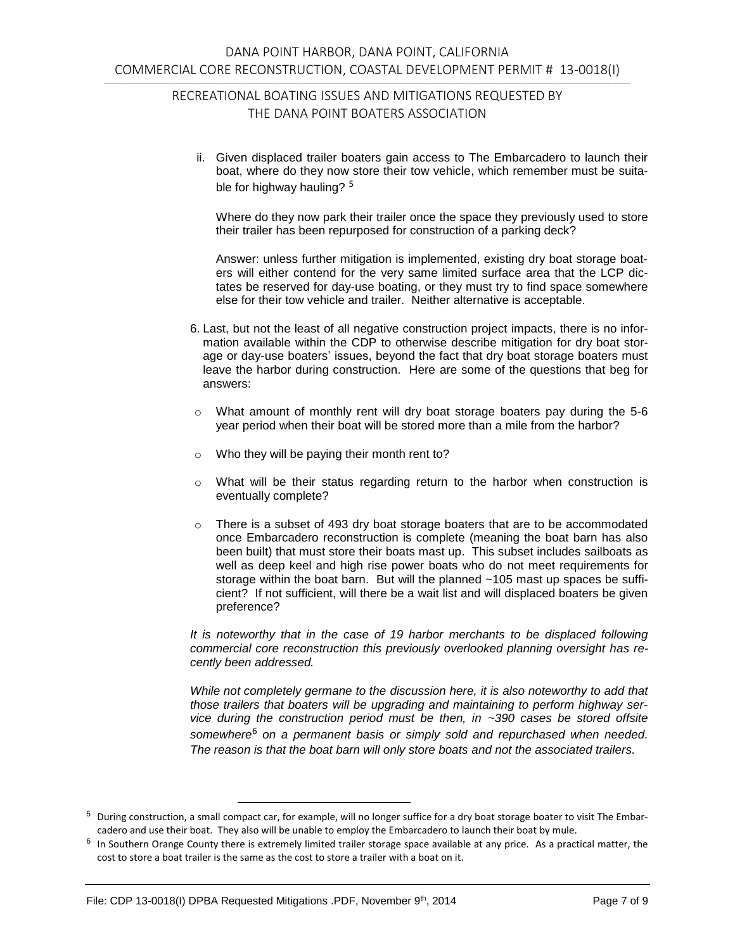ii. Given displaced trailer boaters gain access to The Embarcadero to launch their boat, where do they now store their tow vehicle, which remember must be suitable for highway hauling? <sup>5</sup>

Where do they now park their trailer once the space they previously used to store their trailer has been repurposed for construction of a parking deck?

Answer: unless further mitigation is implemented, existing dry boat storage boaters will either contend for the very same limited surface area that the LCP dictates be reserved for day-use boating, or they must try to find space somewhere else for their tow vehicle and trailer. Neither alternative is acceptable.

- 6. Last, but not the least of all negative construction project impacts, there is no information available within the CDP to otherwise describe mitigation for dry boat storage or day-use boaters' issues, beyond the fact that dry boat storage boaters must leave the harbor during construction. Here are some of the questions that beg for answers:
- $\circ$  What amount of monthly rent will dry boat storage boaters pay during the 5-6 year period when their boat will be stored more than a mile from the harbor?
- o Who they will be paying their month rent to?
- $\circ$  What will be their status regarding return to the harbor when construction is eventually complete?
- $\circ$  There is a subset of 493 dry boat storage boaters that are to be accommodated once Embarcadero reconstruction is complete (meaning the boat barn has also been built) that must store their boats mast up. This subset includes sailboats as well as deep keel and high rise power boats who do not meet requirements for storage within the boat barn. But will the planned ~105 mast up spaces be sufficient? If not sufficient, will there be a wait list and will displaced boaters be given preference?

*It is noteworthy that in the case of 19 harbor merchants to be displaced following commercial core reconstruction this previously overlooked planning oversight has recently been addressed.*

*While not completely germane to the discussion here, it is also noteworthy to add that those trailers that boaters will be upgrading and maintaining to perform highway service during the construction period must be then, in ~390 cases be stored offsite somewhere*<sup>6</sup> *on a permanent basis or simply sold and repurchased when needed. The reason is that the boat barn will only store boats and not the associated trailers.*

<sup>5</sup> During construction, a small compact car, for example, will no longer suffice for a dry boat storage boater to visit The Embarcadero and use their boat. They also will be unable to employ the Embarcadero to launch their boat by mule.

 $^6$  In Southern Orange County there is extremely limited trailer storage space available at any price. As a practical matter, the cost to store a boat trailer is the same as the cost to store a trailer with a boat on it.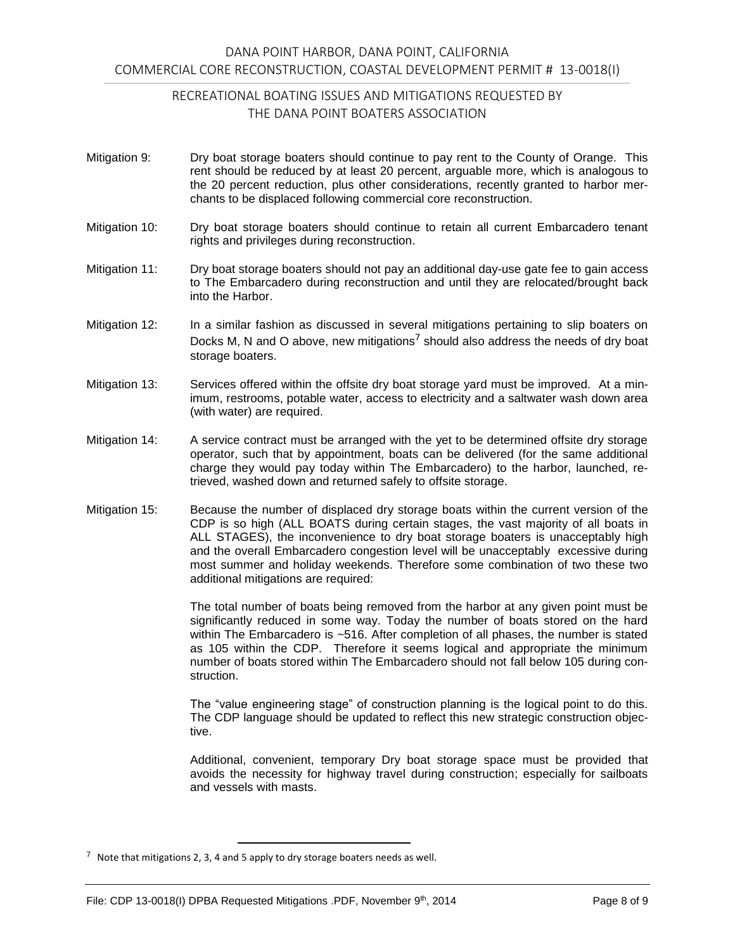- Mitigation 9: Dry boat storage boaters should continue to pay rent to the County of Orange. This rent should be reduced by at least 20 percent, arguable more, which is analogous to the 20 percent reduction, plus other considerations, recently granted to harbor merchants to be displaced following commercial core reconstruction.
- Mitigation 10: Dry boat storage boaters should continue to retain all current Embarcadero tenant rights and privileges during reconstruction.
- Mitigation 11: Dry boat storage boaters should not pay an additional day-use gate fee to gain access to The Embarcadero during reconstruction and until they are relocated/brought back into the Harbor.
- Mitigation 12: In a similar fashion as discussed in several mitigations pertaining to slip boaters on Docks M, N and O above, new mitigations<sup>7</sup> should also address the needs of dry boat storage boaters.
- Mitigation 13: Services offered within the offsite dry boat storage yard must be improved. At a minimum, restrooms, potable water, access to electricity and a saltwater wash down area (with water) are required.
- Mitigation 14: A service contract must be arranged with the yet to be determined offsite dry storage operator, such that by appointment, boats can be delivered (for the same additional charge they would pay today within The Embarcadero) to the harbor, launched, retrieved, washed down and returned safely to offsite storage.
- Mitigation 15: Because the number of displaced dry storage boats within the current version of the CDP is so high (ALL BOATS during certain stages, the vast majority of all boats in ALL STAGES), the inconvenience to dry boat storage boaters is unacceptably high and the overall Embarcadero congestion level will be unacceptably excessive during most summer and holiday weekends. Therefore some combination of two these two additional mitigations are required:

The total number of boats being removed from the harbor at any given point must be significantly reduced in some way. Today the number of boats stored on the hard within The Embarcadero is ~516. After completion of all phases, the number is stated as 105 within the CDP. Therefore it seems logical and appropriate the minimum number of boats stored within The Embarcadero should not fall below 105 during construction.

The "value engineering stage" of construction planning is the logical point to do this. The CDP language should be updated to reflect this new strategic construction objective.

Additional, convenient, temporary Dry boat storage space must be provided that avoids the necessity for highway travel during construction; especially for sailboats and vessels with masts.

 $7$  Note that mitigations 2, 3, 4 and 5 apply to dry storage boaters needs as well.